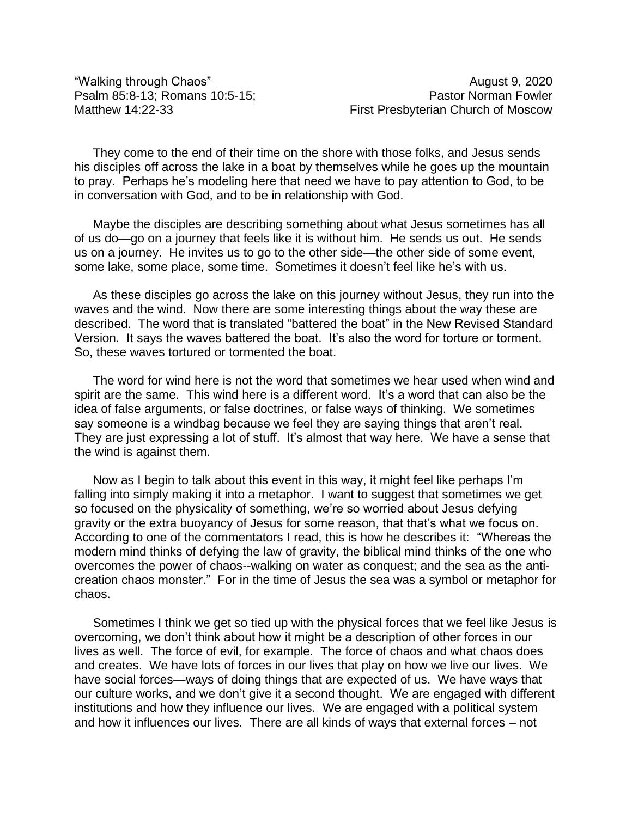"Walking through Chaos" August 9, 2020

They come to the end of their time on the shore with those folks, and Jesus sends his disciples off across the lake in a boat by themselves while he goes up the mountain to pray. Perhaps he's modeling here that need we have to pay attention to God, to be in conversation with God, and to be in relationship with God.

Maybe the disciples are describing something about what Jesus sometimes has all of us do—go on a journey that feels like it is without him. He sends us out. He sends us on a journey. He invites us to go to the other side—the other side of some event, some lake, some place, some time. Sometimes it doesn't feel like he's with us.

As these disciples go across the lake on this journey without Jesus, they run into the waves and the wind. Now there are some interesting things about the way these are described. The word that is translated "battered the boat" in the New Revised Standard Version. It says the waves battered the boat. It's also the word for torture or torment. So, these waves tortured or tormented the boat.

The word for wind here is not the word that sometimes we hear used when wind and spirit are the same. This wind here is a different word. It's a word that can also be the idea of false arguments, or false doctrines, or false ways of thinking. We sometimes say someone is a windbag because we feel they are saying things that aren't real. They are just expressing a lot of stuff. It's almost that way here. We have a sense that the wind is against them.

Now as I begin to talk about this event in this way, it might feel like perhaps I'm falling into simply making it into a metaphor. I want to suggest that sometimes we get so focused on the physicality of something, we're so worried about Jesus defying gravity or the extra buoyancy of Jesus for some reason, that that's what we focus on. According to one of the commentators I read, this is how he describes it: "Whereas the modern mind thinks of defying the law of gravity, the biblical mind thinks of the one who overcomes the power of chaos--walking on water as conquest; and the sea as the anticreation chaos monster." For in the time of Jesus the sea was a symbol or metaphor for chaos.

Sometimes I think we get so tied up with the physical forces that we feel like Jesus is overcoming, we don't think about how it might be a description of other forces in our lives as well. The force of evil, for example. The force of chaos and what chaos does and creates. We have lots of forces in our lives that play on how we live our lives. We have social forces—ways of doing things that are expected of us. We have ways that our culture works, and we don't give it a second thought. We are engaged with different institutions and how they influence our lives. We are engaged with a political system and how it influences our lives. There are all kinds of ways that external forces – not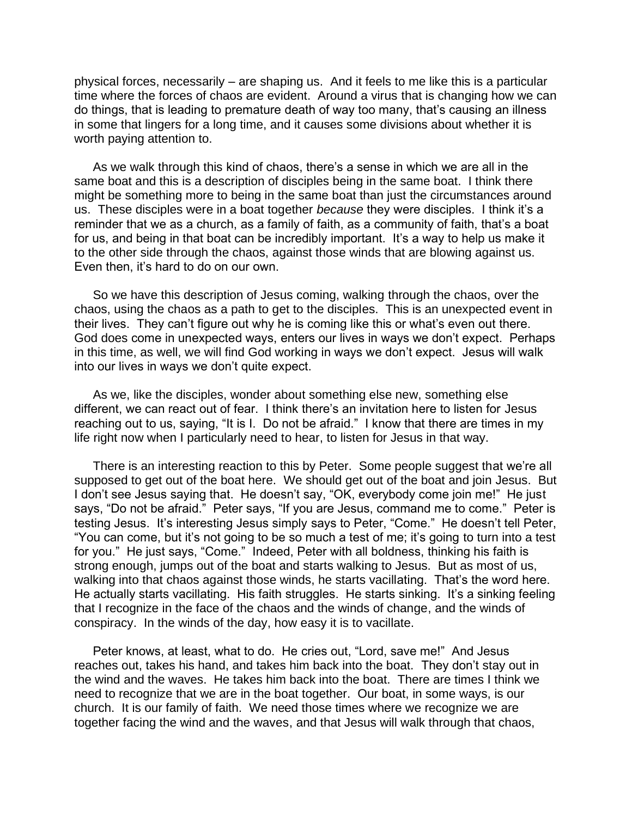physical forces, necessarily – are shaping us. And it feels to me like this is a particular time where the forces of chaos are evident. Around a virus that is changing how we can do things, that is leading to premature death of way too many, that's causing an illness in some that lingers for a long time, and it causes some divisions about whether it is worth paying attention to.

As we walk through this kind of chaos, there's a sense in which we are all in the same boat and this is a description of disciples being in the same boat. I think there might be something more to being in the same boat than just the circumstances around us. These disciples were in a boat together *because* they were disciples. I think it's a reminder that we as a church, as a family of faith, as a community of faith, that's a boat for us, and being in that boat can be incredibly important. It's a way to help us make it to the other side through the chaos, against those winds that are blowing against us. Even then, it's hard to do on our own.

So we have this description of Jesus coming, walking through the chaos, over the chaos, using the chaos as a path to get to the disciples. This is an unexpected event in their lives. They can't figure out why he is coming like this or what's even out there. God does come in unexpected ways, enters our lives in ways we don't expect. Perhaps in this time, as well, we will find God working in ways we don't expect. Jesus will walk into our lives in ways we don't quite expect.

As we, like the disciples, wonder about something else new, something else different, we can react out of fear. I think there's an invitation here to listen for Jesus reaching out to us, saying, "It is I. Do not be afraid." I know that there are times in my life right now when I particularly need to hear, to listen for Jesus in that way.

There is an interesting reaction to this by Peter. Some people suggest that we're all supposed to get out of the boat here. We should get out of the boat and join Jesus. But I don't see Jesus saying that. He doesn't say, "OK, everybody come join me!" He just says, "Do not be afraid." Peter says, "If you are Jesus, command me to come." Peter is testing Jesus. It's interesting Jesus simply says to Peter, "Come." He doesn't tell Peter, "You can come, but it's not going to be so much a test of me; it's going to turn into a test for you." He just says, "Come." Indeed, Peter with all boldness, thinking his faith is strong enough, jumps out of the boat and starts walking to Jesus. But as most of us, walking into that chaos against those winds, he starts vacillating. That's the word here. He actually starts vacillating. His faith struggles. He starts sinking. It's a sinking feeling that I recognize in the face of the chaos and the winds of change, and the winds of conspiracy. In the winds of the day, how easy it is to vacillate.

Peter knows, at least, what to do. He cries out, "Lord, save me!" And Jesus reaches out, takes his hand, and takes him back into the boat. They don't stay out in the wind and the waves. He takes him back into the boat. There are times I think we need to recognize that we are in the boat together. Our boat, in some ways, is our church. It is our family of faith. We need those times where we recognize we are together facing the wind and the waves, and that Jesus will walk through that chaos,